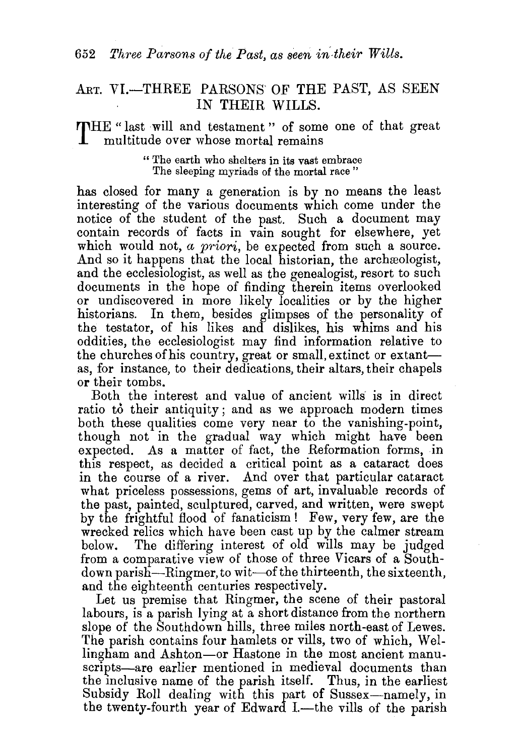## ART. VI.-THREE PARSONS OF THE PAST, AS SEEN IN THEIR WILLS.

THE " last will and testament " of some one of that great multitude over whose mortal remains

> " The earth who shelters in its vast embrace The sleeping myriads of the mortal race"

has closed for many a generation is by no means the least interesting of the various documents which come under the notice of the student of the past. Such a document may contain records of facts in vain sought for elsewhere, yet which would not, *a priori*, be expected from such a source. And so it happens that the local historian, the archeologist, and the ecclesiologist, as well as the genealogist, resort to such documents in the hope of finding therein items overlooked or undiscovered in more likely localities or by the higher historians. In them, besides glimpses of the personality of the testator, of his likes and dislikes, his whims and his oddities, the ecclesiologist may find information relative to the churches of his country, great or small, extinct or extantas, for instance, to their dedications, their altars, their chapels or their tombs.

Both the interest and value of ancient wills' is in direct ratio to their antiquity; and as we approach modern times both these qualities come very near to the vanishing-point, though not in the gradual way which might have been expected. As a matter of fact, the Reformation forms, in this respect, as decided a critical point as a cataract does in the course of a river. And over that particular cataract what priceless possessions, gems of art, invaluable records of the past, painted, sculptured, carved, and written, were swept by the frightful flood of fanaticism! Few, very few, are the wrecked relics which have been cast up by the calmer stream below. The differing interest of old wills may be judged from a comparative view of those of three Vicars of a Southdown parish-Ringmer, to wit-of the thirteenth, the sixteenth. and the eighteenth centuries respectively.

Let us premise that Ringmer, the scene of their pastoral labours, is a parish lying at a short distance from the northern slope of the Southdown hills, three miles north-east of Lewes. The parish contains four hamlets or vills, two of which, Wellingham and Ashton-or Hastone in the most ancient manuscripts—are earlier mentioned in medieval documents than the inclusive name of the parish itself. Thus, in the earliest Subsidy Roll dealing with this part of Sussex-namely, in the twenty-fourth year of Edward I.-the vills of the parish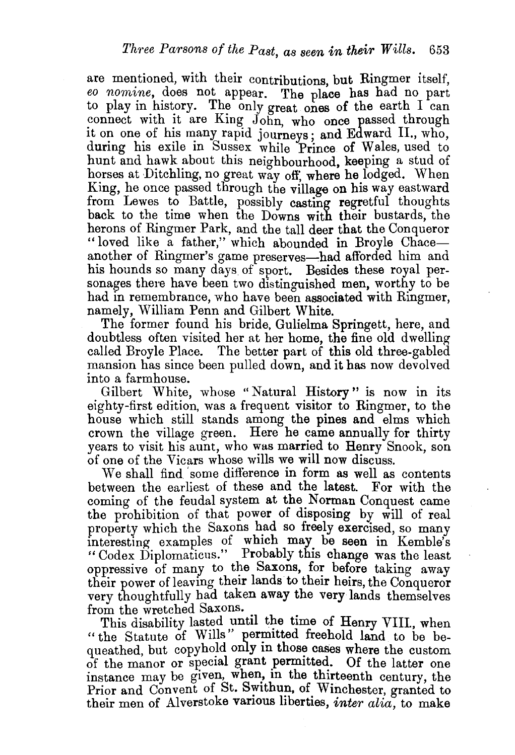are mentioned, with their contributions but Ringmer itself, *eo nomine*, does not appear. The place has had no part to play in history. The only great ones of the earth I can connect with it are King John, who once passed through it on one of his many rapid journeys; and Edward II., who, during his exile in Sussex while Prince of Wales, used to hunt and hawk about this neighbourhood, keeping a stud of horses at Ditchling, no great way off; where he lodged. When King, he once passed through the village on his way eastward from Lewes to Battle, possibly casting regretful thoughts back to the time when the Downs with their bustards, the herons of Ringmer Park, and the tall deer that the Conqueror "loved like a father," which abounded in Broyle Chaceanother of Ringmer's game preserves—had afforded him and his hounds so many days of sport. Besides these royal personages there have been two distinguished men, worthy to be had in remembrance, who have been associated with Ringmer, namely, William Penn and Gilbert White.

The former found his bride, Gulielma Springett, here, and doubtless often visited her at her home, the fine old dwelling called Broyle Place. The better part of this old three-gabled mansion has since been pulled down, and it has now devolved into a farmhouse.

Gilbert White, whose "Natural History" is now in its eighty-first edition, was a frequent visitor to Ringmer, to the house which still stands among the pines and elms which crown the village green. Here he came annually for thirty years to visit his aunt, who was married to Henry Snook, son of one of the Vicars whose wills we will now discuss.

We shall find 'some difference in form as well as contents between the earliest of these and the latest. For with the coming of the feudal system at the Norman Conquest came the prohibition of that power of disposing by will of real property which the Saxons had so freely exercised, so many interesting examples of which may be seen in Kemble's "Codex Diplomaticns." Probably this change was the least oppressive of many to the Saxons, for before taking away their power of leaving their lands to their heirs, the Conqueror very thoughtfully had taken away the very lands themselves from the wretched Saxons.

This disability lasted until the time of Henry VIII., when "the Statute of Wills" permitted freehold land to be bequeathed, but copyhold only in those cases where the custom of the manor or special grant permitted. Of the latter one instance may be given, when, in the thirteenth century, the Prior and Convent of St. Swithun, of Winchester, granted to their men of Alverstoke various liberties, *inter alia*, to make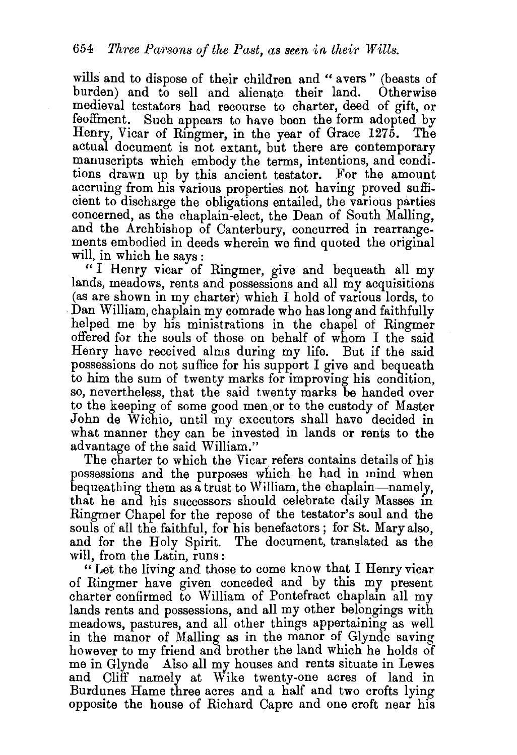wills and to dispose of their children and "avers" (beasts of burden) and to sell and alienate their land. Otherwise medieval testators had recourse to charter, deed of gift, or feoffment. Such appears to have been the form adopted by Henry, Vicar of Ringmer, in the year of Grace 1275. actual document is not extant, but there are contemporary manuscripts which embody the terms, intentions, and conditions drawn up by this ancient testator. For the amount accruing from his various properties not having proved suffi-Cient to discharge the obligations entailed, the various parties concerned, as the chaplain-elect, the Dean of South Malling, and the Archbishop of Canterbury, concurred in rearrangements embodied in deeds wherein we find quoted the original will, in which he says:

" I Henry vicar of Ringmer, give and bequeath all my lands, meadows, rents and possessions and all my acquisitions (as are shown in my charter) which I hold of various lords, to Dan William, chaplain my comrade who has long and faithfully helped me by his ministrations in the chapel of Ringmer offered for the souls of those on behalf of whom I the said Henry have received alms during my life. But if the said possessions do not suffice for his support I give and bequeath to him the sum of twenty marks for improving his condition, so, nevertheless, that the said twenty marks be handed over to the keeping of some good men. or to the custody of Master John de Wichio, until my executors shall have decided in what manner they can be invested in lands or rents to the advantage of the said William."

The charter to which the Vicar refers contains details of his possessions and the purposes which he had in mind when bequeathing them as a trust to William, the chaplain-namely, that he and his successors should celebrate daily Masses in Ringmer Chapel for the repose of the testator's soul and the souls of all the faithful, for his benefactors; for St. Mary also, and for the Holy Spirit. The document, translated as the will, from the Latin, runs :

" Let the living and those to come know that I Henry vicar of Ringmer have given conceded and by this my present charter confirmed to William of Pontefract chaplain all my lands rents and possessions, and all my other belongings with meadows, pastures, and all other things appertaining as well in the manor of Mailing as in the manor of Glynde saving however to my friend and brother the land which he holds of me in Glynde Also all my houses and rents situate in Lewes and Cliff namely at Wike twenty-one acres of land in Burdunes Harne three acres and a half and two crofts lying opposite the house of Richard Capre and one croft near his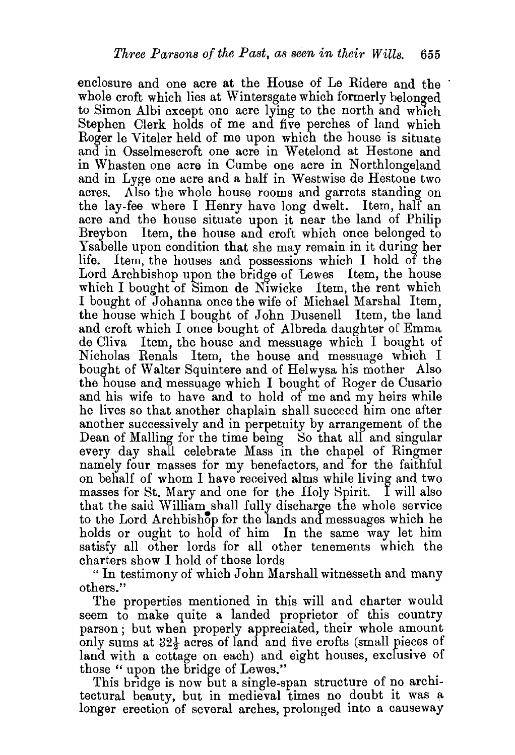enclosure and one acre at the House of Le Ridere and the whole croft which lies at Wintersgate which formerly belonged to Simon Albi except one acre lying to the north and which Stephen Clerk holds of me and five perches of land which Roger le Viteler held of me upon which the house is situate and in Osselmescroft one acre in Wetelond at Hestone and in Whasten one acre in Cumbe one acre in Northlongeland and in Lyge one acre and a half in Westwise de Hestone two acres. Also the whole house rooms and garrets standing on the lay-fee where I Henry have long dwelt. Item, half an acre and the house situate upon it near the land of Philip Breybon Item, the house and croft which once belonged to Ysabelle upon condition that she may remain in it during her Item, the houses and possessions which I hold of the Lord Archbishop upon the bridge of Lewes Item, the house which I bought of Simon de Niwicke Item, the rent which I bought of Johanna once the wife of Michael Marshal Item, the bouse which I bought of John Dusenell Item, the land and croft which I once bought of Albreda daughter of Emma de Cliva Item, the house and messuage which I bought of Nicholas Renals Item, the bouse and messuage which I bought of Walter Squintere and of Helwysa his mother Also the house and messuage which I bought of Roger de Cusario and his wife to have and to hold of me and my heirs while he lives so that another chaplain shall succeed him one after another successively and in perpetuity by arrangement of the Dean of Malling for the time being So that all and singular every day shall celebrate Mass in the chapel of Ringmer namely four masses for my benefactors, and for the faithful on behalf of whom I have received alms while living and two masses for St. Mary and one for the Holy Spirit. I will also that the said William shall fully discharge the whole service to the Lord Archbishop for the lands and messuages which he holds or ought to hold of him In the same way let him satisfy all other lords for all other tenements which the charters show I hold of those lords

"In testimony of which John Marshall witnesseth and many others."

The properties mentioned in this will and charter would seem to make quite a landed proprietor of this country parson; but when properly appreciated, their whole amount only sums at  $32\frac{1}{2}$  acres of land and five crofts (small pieces of land with a cottage on each) and eight houses, exclusive of

those " upon the bridge of Lewes." . This bridge is now but a single-span structure of no architectural beauty, but in medieval times no doubt it was a longer erection of several arches, prolonged into a causeway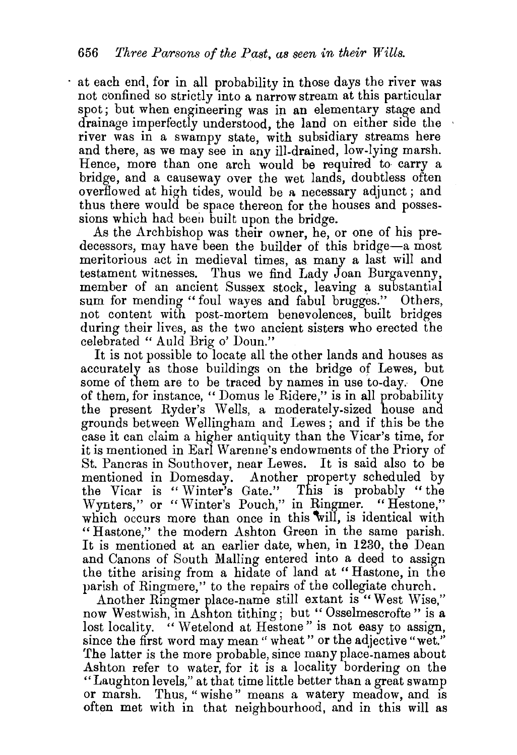at each end, for in all probability in those days the river was not confined so strictly into a narrow stream at this particular spot; but when engineering was in an elementary stage and drainage imperfectly understood, the land on either side the river was in a swampy state, with subsidiary streams here and there, as we may see in any ill-drained, low-lying marsh. Hence, more than one arch would be required to carry a bridge, and a causeway over the wet lands, doubtless often overflowed at high tides, would be a necessary adjunct; and thus there would be space thereon for the houses and possessions which had been built upon the bridge.

As the Archbishop was their owner, he, or one of his predecessors, may have been the builder of this bridge-a most meritorious act in medieval times, as many a last will and testament witnesses. Thus we find Lady Joan Burgavenny, member of an ancient Sussex stock, leaving a substantial sum for mending "foul wayes and fabul brugges." Others, not content with post-mortem benevolences, built bridges during their lives, as the two ancient sisters who erected the celebrated " Auld Brig o' Doun."

It is not possible to locate all the other lands and houses as accurately as those buildings on the bridge of Lewes, but some of them are to be traced by names in use to-day. One of them, for instance, "Domus le Ridere," is in all probability the present Ryder's Wells, a moderately-sized house and grounds between W ellingham and Lewes ; and if this be the case it can claim a higher antiquity than the Vicar's time, for it is mentioned in Earl Warenne's endowments of the Priory of St. Pancras in Southover, near Lewes. It is said also to be mentioned in Domesday. Another property scheduled by the Vicar is " Winter's Gate." This is probably "the Wynters," or "Winter's Pouch," in Ringmer. "Hestone," which occurs more than once in this will, is identical with "Hastone," the modern Ashton Green in the same parish. It is mentioned at an earlier date, when, in 1230, the Dean and Canons of South Malling entered into a deed to assign the tithe arising from a hidate of land at " Bastone, in the parish of Ringmere," to the repairs of the collegiate church.

Another Ringmer place-name still extant is "West Wise." now Westwish, in Ashton tithing; but "Osselmescrofte" is a lost locality. "Wetelond at Hestone" is not easy to assign, since the first word may mean " wheat " or the adjective "wet." The latter is the more probable, since many place-names about Ashton refer to water, for it is a locality bordering on the "Laughton levels," at that time little better than a great swamp or marsh. Thus, "wishe" means a watery meadow, and is often met with in that neighbourhood, and in this will as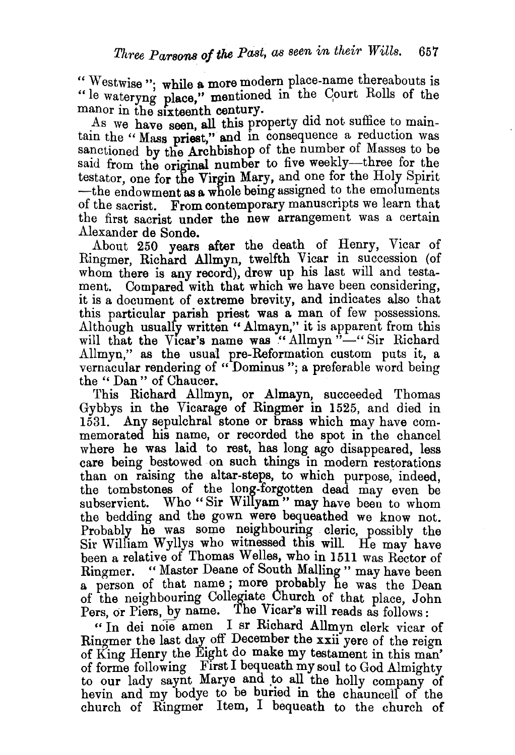" Westwise ": while a more modern place-name thereabouts is "le wateryng place," mentioned in the Court Rolls of the manor in the sixteenth century.

As we have seen, all this property did not suffice to maintain the "Mass priest," and in consequence a reduction was sanctioned by the Archbishop of the number of Masses to be said from the original number to five weekly-three for the testator, one for the Virgin Mary, and one for the Holy Spirit  $-\text{the endowment}$  as a whole being assigned to the emoluments of the sacrist. From contemporary manuscripts we learn that the first sacrist under the new arrangement was a certain Alexander de Sonde.

About 250 years after the death of Henry, Vicar of Ringmer, Richard Allmyn, twelfth Vicar in succession (of whom there is any record), drew up his last will and testament. Compared with that which we have been considering, it is a document of extreme brevity, and indicates also that this particular parish priest was a man of few possessions. Although usualfy written "Almayn," it is apparent from this will that the Vicar's name was "Allmyn"-"Sir Richard Allmyn," as the usual pre-Reformation custom puts it, a vernacular rendering of " Dominus "; a preferable word being the " Dan" of Chaucer.

This Richard Allmyn, or Almayn, succeeded Thomas Gybbys in the Vicarage of Ringmer in 1525, and died in 1531. Any sepulchral stone or brass which may have commemorated his name, or recorded the spot in the chancel where he was laid to rest, has long ago disappeared, less care being bestowed on such things in modern restorations than on raising the altar-steps, to which purpose, indeed, the tombstones of the long-forgotten dead may even be subservient. Who "Sir Willyam" may have been to whom the bedding and the gown were bequeathed we know not. Probably he was some neighbouring cleric, possibly the Sir William Wyllys who witnessed this will. He may have been a relative of Thomas Welles, who in 1511 was Rector of Ringmer. "Master Deane of South Malling" may have been a person of that name; more probably he was the Dean of the neighbouring Collegiate Church of that place, John Pers, or Piers, by name. The Vicar's will reads as follows:

" In dei noie amen I sr Richard Allmyn clerk vicar of Ringmer the last day off December the xxii yere of the reign of King Henry the Eight do make my testament in this man' of forme following Fust I bequeath my soul to God Almighty to our lady saynt Marye and to all the holly company of hevin and my bodye to be buried in the chauncell of the church of Ringmer Item, I bequeath to the church of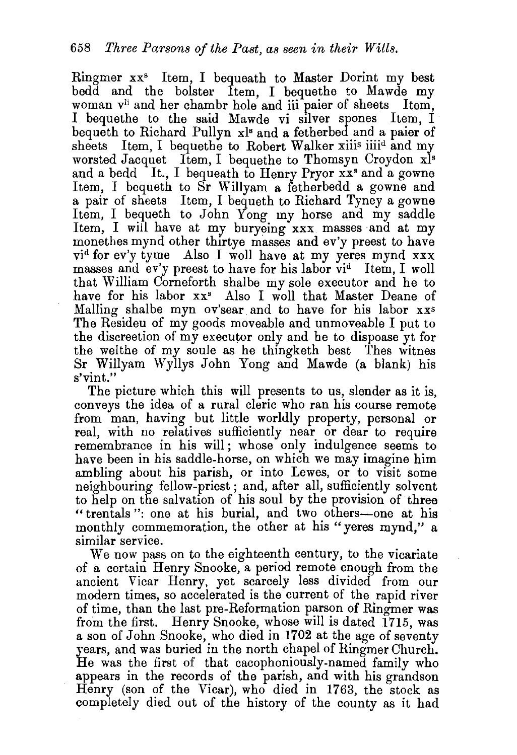Ringmer xx• Item, I bequeath to Master Dorint my best bedd and the bolster Item, I bequethe to Mawde my woman v<sup>ii</sup> and her chambr hole and iii paier of sheets Item, I bequethe to the said Mawde vi silver spones Item, I beq ueth to Richard Pullyn xl• and a fetherbed and a paier of sheets Item, I bequethe to Robert Walker xiiis iiiid and my worsted Jacquet Item, I bequethe to Thomsyn Croydon x<sup>1s</sup> and a bedd It., I bequeath to Henry Pryor  $\overline{x}$ <sup>3</sup> and a gowne Item, I bequeth to Sr Willyam a fetherbedd a gowne and a pair of sheets Item, I bequeth to Richard Tyney a gowne Item, I bequeth to John Yong my horse and my saddle Item, I will have at my buryeing xxx masses and at my monethes mynd other thirtye masses and ev'y preest to have vid for ev'y tyme Also I woll have at my yeres mynd xxx masses and ev'y preest to have for his labor vid Item, I woll that William Corneforth shalbe my sole executor and he to have for his labor xx<sup>3</sup> Also I woll that Master Deane of Malling shalbe myn ov'sear and to have for his labor xxs The Resideu of my goods moveable and unmoveable I put to the discreetion of my executor only and he to dispoase yt for the welthe of my soule as he thingketh best Thes witnes Sr Willyam Wyllys John Yong and Mawde (a blank) his s'vint."

The picture which this will presents to us, slender as it is, conveys the idea of a rural cleric who ran his course remote from man, having but little worldly property, personal or real, with no relatives sufficiently near or dear to require remembrance in his will; whose only indulgence seems to have been in his saddle-horse, on which we may imagine him ambling about his parish, or into Lewes, or to visit some neighbouring fellow-priest; and, after all, sufficiently solvent to help on the salvation of his soul by the provision of three "trentals": one at his burial, and two others-one at his monthly commemoration, the other at his "yeres mynd," a similar service.

We now pass on to the eighteenth century, to the vicariate of a certain Henry Snooke, a period remote enough from the ancient Vicar Henry, yet scarcely less divided from our modern times, so accelerated is the current of the rapid river of time, than the last pre-Reformation parson of Ringmer was from the first. Henry Snooke, whose will is dated 1715, was a son of John Snooke, who died in 1702 at the age of seventy years, and was buried in the north chapel of Ringmer Church. He was the first of that cacophoniously-named family who appears in the records of the parish, and with his grandson Henry (son of the Vicar), who died in 1763, the stock as completely died out of the history of the county as it had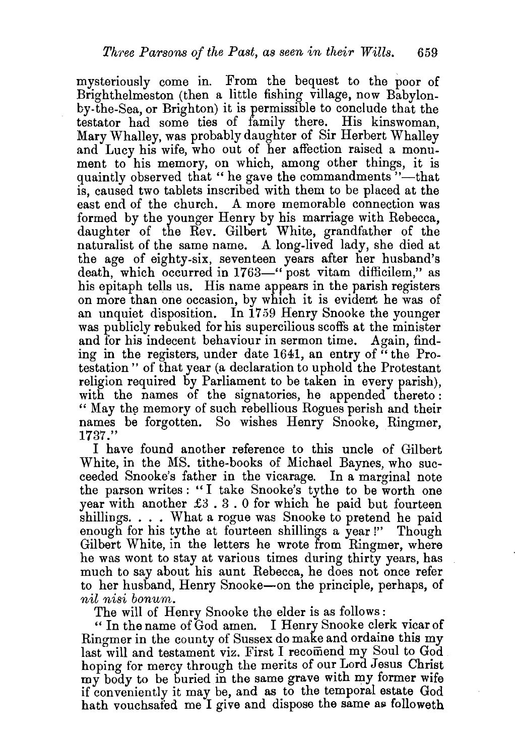mysteriously come in. From the bequest to the poor of Brighthelmeston (then a little fishing village, now Babylonby-the-Sea, or Brighton) it is permissible to conclude that the testator had some ties of family there. His kinswoman, Mary Whalley, was probably daughter of Sir Herbert Whalley and Lucy his wife, who out of her affection raised a monument to his memory, on which, among other things, it is quaintly observed that " he gave the commandments"-that is, caused two tablets inscribed with them to be placed at the east end of the church. A more memorable connection was formed by the younger Henry by his marriage with Rebecca, daughter of the Rev. Gilbert White, grandfather of the naturalist of the same name. A long-lived lady, she died at the age of eighty-six, seventeen years after her husband's death, which occurred in 1763-" post vitam difficilem," as his epitaph tells us. His name appears in the parish registers on more than one occasion, by which it is evident he was of an unquiet disposition. In 1759 Henry Snooke the younger was publicly rebuked for his supercilious scoffs at the minister and for his indecent behaviour in sermon time. Again, finding in the registers, under date 1641, an entry of  $\dddot{H}$  the Protestation" of that year (a declaration to uphold the Protestant religion required by Parliament to be taken in every parish), with the names of the signatories, he appended thereto: " May the memory of such rebellious Rogues perish and their names be forgotten. So wishes Henry Snooke, Ringmer, 1737."

I have found another reference to this uncle of Gilbert White, in the MS. tithe-books of Michael Baynes, who succeeded Snooke's father in the vicarage. In a marginal note the parson writes : " I take Snooke's tythe to be worth one year with another  $\pounds 3$ . 3.0 for which he paid but fourteen shillings. . . . What a rogue was Snooke to pretend he paid enough for his tythe at fourteen shillings a year!" Though Gilbert White, in the letters he wrote from Ringmer, where he was wont to stay at various times during thirty years, has much to say about his aunt Rebecca, he does not once refer to her husband, Henry Snooke-on the principle, perhaps, of *nil nisi bonum.* 

The will of Henry Snooke the elder is as follows:

" In the name of God amen. I Henry Snooke clerk vicar of Ringmer in the county of Sussex do make and ordaine this my last will and testament viz. First I recomend my Soul to God hoping for mercy through the merits of our Lord Jesus Christ my body to be buried in the same grave with my former wife if conveniently it may be, and as to the temporal estate God hath vouchsafed me I give and dispose the same as followeth